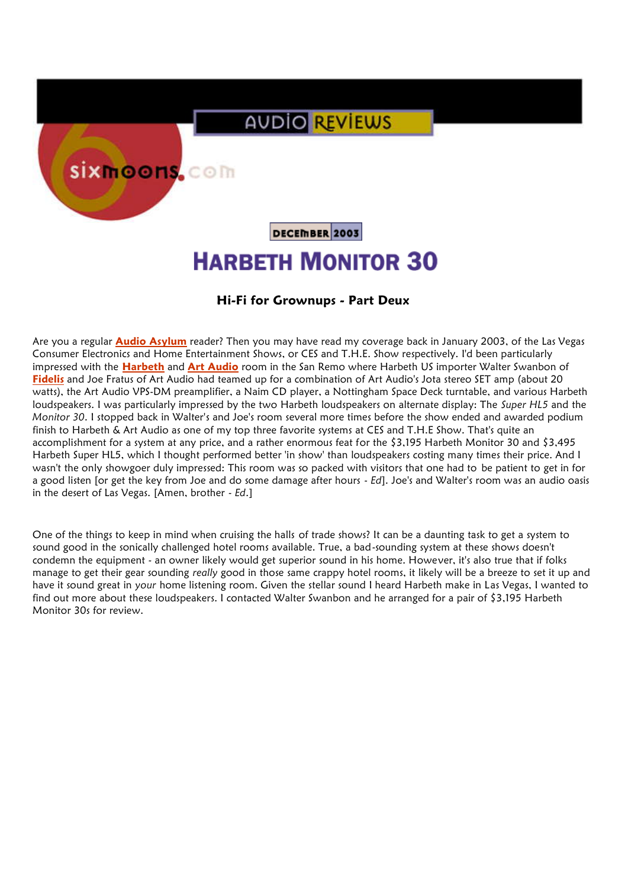## **AUDIO REVIEWS**

sixmoons.com

DECEMBER 2003

## **HARBETH MONITOR 30**

## **Hi-Fi for Grownups - Part Deux**

Are you a regular **Audio Asylum** reader? Then you may have read my coverage back in January 2003, of the Las Vegas Consumer Electronics and Home Entertainment Shows, or CES and T.H.E. Show respectively. I'd been particularly impressed with the **Harbeth** and **Art Audio** room in the San Remo where Harbeth US importer Walter Swanbon of **Fidelis** and Joe Fratus of Art Audio had teamed up for a combination of Art Audio's Jota stereo SET amp (about 20 watts), the Art Audio VPS-DM preamplifier, a Naim CD player, a Nottingham Space Deck turntable, and various Harbeth loudspeakers. I was particularly impressed by the two Harbeth loudspeakers on alternate display: The *Super HL5* and the *Monitor 30*. I stopped back in Walter's and Joe's room several more times before the show ended and awarded podium finish to Harbeth & Art Audio as one of my top three favorite systems at CES and T.H.E Show. That's quite an accomplishment for a system at any price, and a rather enormous feat for the \$3,195 Harbeth Monitor 30 and \$3,495 Harbeth Super HL5, which I thought performed better 'in show' than loudspeakers costing many times their price. And I wasn't the only showgoer duly impressed: This room was so packed with visitors that one had to be patient to get in for a good listen [or get the key from Joe and do some damage after hours - *Ed*]. Joe's and Walter's room was an audio oasis in the desert of Las Vegas. [Amen, brother - *Ed*.]

One of the things to keep in mind when cruising the halls of trade shows? It can be a daunting task to get a system to sound good in the sonically challenged hotel rooms available. True, a bad-sounding system at these shows doesn't condemn the equipment - an owner likely would get superior sound in his home. However, it's also true that if folks manage to get their gear sounding *really* good in those same crappy hotel rooms, it likely will be a breeze to set it up and have it sound great in your home listening room. Given the stellar sound I heard Harbeth make in Las Vegas, I wanted to find out more about these loudspeakers. I contacted Walter Swanbon and he arranged for a pair of \$3,195 Harbeth Monitor 30s for review.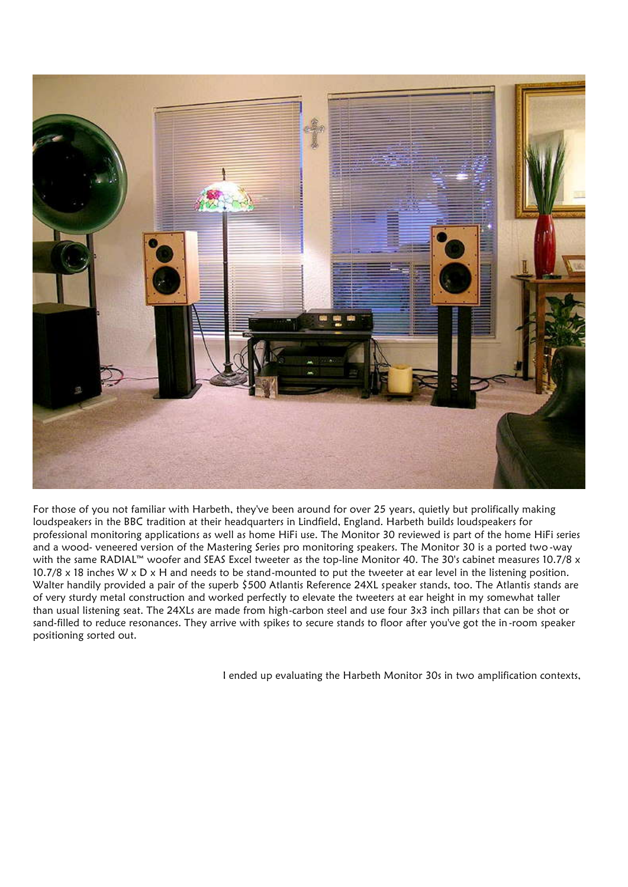

For those of you not familiar with Harbeth, they've been around for over 25 years, quietly but prolifically making loudspeakers in the BBC tradition at their headquarters in Lindfield, England. Harbeth builds loudspeakers for professional monitoring applications as well as home HiFi use. The Monitor 30 reviewed is part of the home HiFi series and a wood- veneered version of the Mastering Series pro monitoring speakers. The Monitor 30 is a ported two -way with the same RADIAL™ woofer and SEAS Excel tweeter as the top-line Monitor 40. The 30's cabinet measures 10.7/8 x 10.7/8 x 18 inches W x D x H and needs to be stand-mounted to put the tweeter at ear level in the listening position. Walter handily provided a pair of the superb \$500 Atlantis Reference 24XL speaker stands, too. The Atlantis stands are of very sturdy metal construction and worked perfectly to elevate the tweeters at ear height in my somewhat taller than usual listening seat. The 24XLs are made from high-carbon steel and use four 3x3 inch pillars that can be shot or sand-filled to reduce resonances. They arrive with spikes to secure stands to floor after you've got the in -room speaker positioning sorted out.

I ended up evaluating the Harbeth Monitor 30s in two amplification contexts,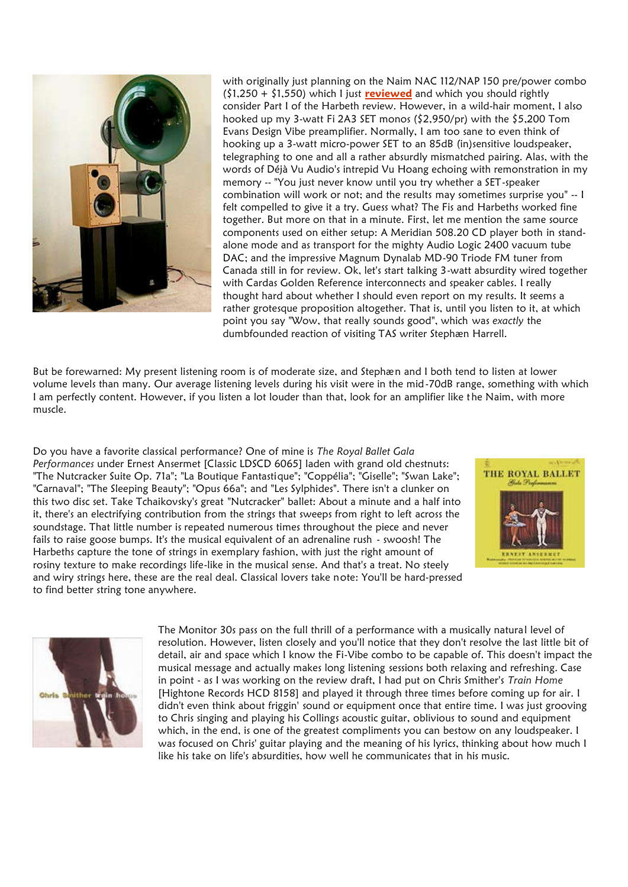

with originally just planning on the Naim NAC 112/NAP 150 pre/power combo (\$1,250 + \$1,550) which I just **reviewed** and which you should rightly consider Part I of the Harbeth review. However, in a wild-hair moment, I also hooked up my 3-watt Fi 2A3 SET monos (\$2,950/pr) with the \$5,200 Tom Evans Design Vibe preamplifier. Normally, I am too sane to even think of hooking up a 3-watt micro-power SET to an 85dB (in)sensitive loudspeaker, telegraphing to one and all a rather absurdly mismatched pairing. Alas, with the words of Déjà Vu Audio's intrepid Vu Hoang echoing with remonstration in my memory -- "You just never know until you try whether a SET-speaker combination will work or not; and the results may sometimes surprise you" -- I felt compelled to give it a try. Guess what? The Fis and Harbeths worked fine together. But more on that in a minute. First, let me mention the same source components used on either setup: A Meridian 508.20 CD player both in stand alone mode and as transport for the mighty Audio Logic 2400 vacuum tube DAC; and the impressive Magnum Dynalab MD-90 Triode FM tuner from Canada still in for review. Ok, let's start talking 3-watt absurdity wired together with Cardas Golden Reference interconnects and speaker cables. I really thought hard about whether I should even report on my results. It seems a rather grotesque proposition altogether. That is, until you listen to it, at which point you say "Wow, that really sounds good", which was *exactly* the dumbfounded reaction of visiting TAS writer Stephæn Harrell.

But be forewarned: My present listening room is of moderate size, and Stephæn and I both tend to listen at lower volume levels than many. Our average listening levels during his visit were in the mid-70dB range, something with which I am perfectly content. However, if you listen a lot louder than that, look for an amplifier like the Naim, with more muscle.

Do you have a favorite classical performance? One of mine is *The Royal Ballet Gala Performances* under Ernest Ansermet [Classic LDSCD 6065] laden with grand old chestnuts: "The Nutcracker Suite Op. 71a"; "La Boutique Fantastique"; "Coppélia"; "Giselle"; "Swan Lake"; THE ROYAL BALLET "Carnaval"; "The Sleeping Beauty"; "Opus 66a"; and "Les Sylphides". There isn't a clunker on this two disc set. Take Tchaikovsky's great "Nutcracker" ballet: About a minute and a half into it, there's an electrifying contribution from the strings that sweeps from right to left across the soundstage. That little number is repeated numerous times throughout the piece and never fails to raise goose bumps. It's the musical equivalent of an adrenaline rush - swoosh! The Harbeths capture the tone of strings in exemplary fashion, with just the right amount of rosiny texture to make recordings life-like in the musical sense. And that's a treat. No steely and wiry strings here, these are the real deal. Classical lovers take note: You'll be hard-pressed to find better string tone anywhere.





The Monitor 30s pass on the full thrill of a performance with a musically natural level of resolution. However, listen closely and you'll notice that they don't resolve the last little bit of detail, air and space which I know the Fi-Vibe combo to be capable of. This doesn't impact the musical message and actually makes long listening sessions both relaxing and refreshing. Case in point - as I was working on the review draft, I had put on Chris Smither's *Train Home* [Hightone Records HCD 8158] and played it through three times before coming up for air. I didn't even think about friggin' sound or equipment once that entire time. I was just grooving to Chris singing and playing his Collings acoustic guitar, oblivious to sound and equipment which, in the end, is one of the greatest compliments you can bestow on any loudspeaker. I was focused on Chris' guitar playing and the meaning of his lyrics, thinking about how much I like his take on life's absurdities, how well he communicates that in his music.